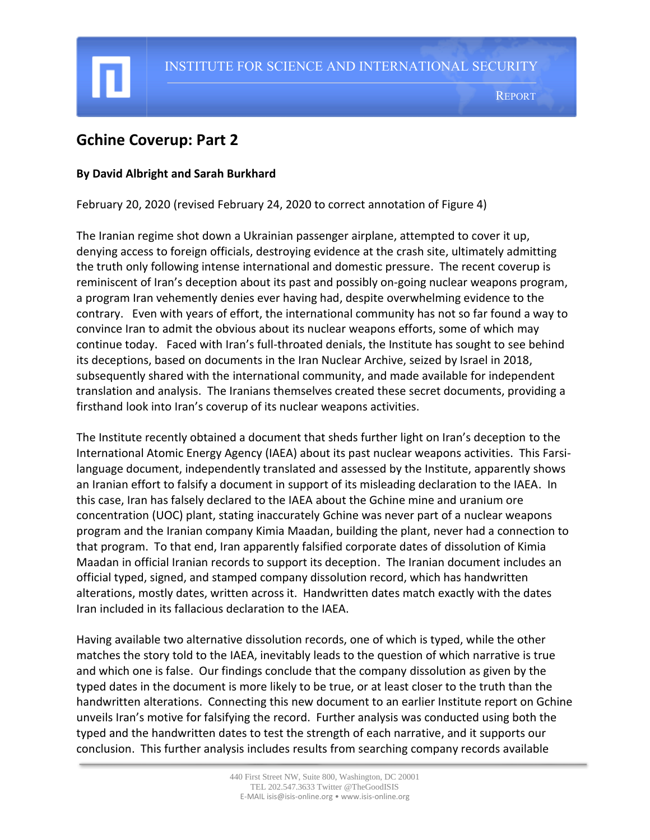# **Gchine Coverup: Part 2**

# **By David Albright and Sarah Burkhard**

February 20, 2020 (revised February 24, 2020 to correct annotation of Figure 4)

The Iranian regime shot down a Ukrainian passenger airplane, attempted to cover it up, denying access to foreign officials, destroying evidence at the crash site, ultimately admitting the truth only following intense international and domestic pressure. The recent coverup is reminiscent of Iran's deception about its past and possibly on-going nuclear weapons program, a program Iran vehemently denies ever having had, despite overwhelming evidence to the contrary. Even with years of effort, the international community has not so far found a way to convince Iran to admit the obvious about its nuclear weapons efforts, some of which may continue today. Faced with Iran's full-throated denials, the Institute has sought to see behind its deceptions, based on documents in the Iran Nuclear Archive, seized by Israel in 2018, subsequently shared with the international community, and made available for independent translation and analysis. The Iranians themselves created these secret documents, providing a firsthand look into Iran's coverup of its nuclear weapons activities.

The Institute recently obtained a document that sheds further light on Iran's deception to the International Atomic Energy Agency (IAEA) about its past nuclear weapons activities. This Farsilanguage document, independently translated and assessed by the Institute, apparently shows an Iranian effort to falsify a document in support of its misleading declaration to the IAEA. In this case, Iran has falsely declared to the IAEA about the Gchine mine and uranium ore concentration (UOC) plant, stating inaccurately Gchine was never part of a nuclear weapons program and the Iranian company Kimia Maadan, building the plant, never had a connection to that program. To that end, Iran apparently falsified corporate dates of dissolution of Kimia Maadan in official Iranian records to support its deception. The Iranian document includes an official typed, signed, and stamped company dissolution record, which has handwritten alterations, mostly dates, written across it. Handwritten dates match exactly with the dates Iran included in its fallacious declaration to the IAEA.

Having available two alternative dissolution records, one of which is typed, while the other matches the story told to the IAEA, inevitably leads to the question of which narrative is true and which one is false. Our findings conclude that the company dissolution as given by the typed dates in the document is more likely to be true, or at least closer to the truth than the handwritten alterations. Connecting this new document to an earlier Institute report on Gchine unveils Iran's motive for falsifying the record. Further analysis was conducted using both the typed and the handwritten dates to test the strength of each narrative, and it supports our conclusion. This further analysis includes results from searching company records available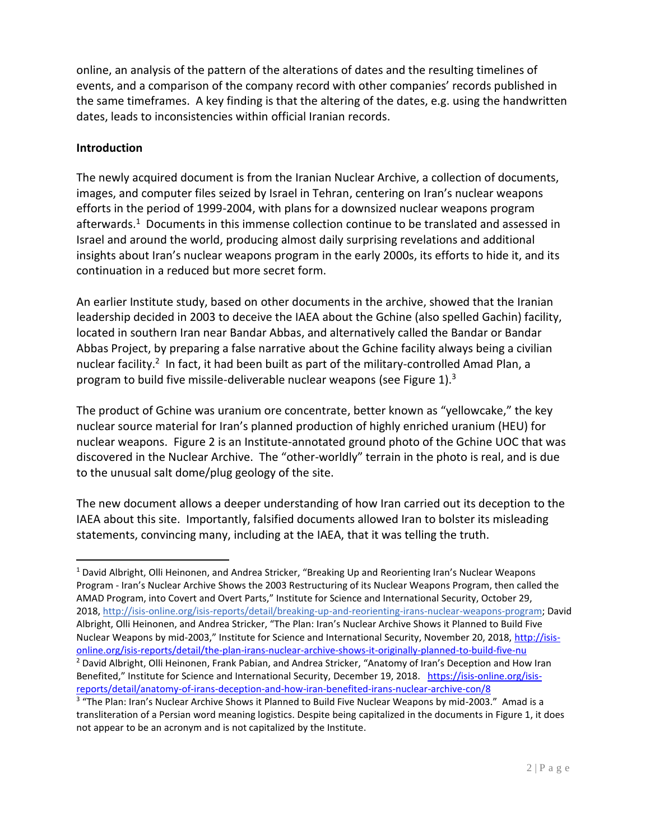online, an analysis of the pattern of the alterations of dates and the resulting timelines of events, and a comparison of the company record with other companies' records published in the same timeframes. A key finding is that the altering of the dates, e.g. using the handwritten dates, leads to inconsistencies within official Iranian records.

# **Introduction**

The newly acquired document is from the Iranian Nuclear Archive, a collection of documents, images, and computer files seized by Israel in Tehran, centering on Iran's nuclear weapons efforts in the period of 1999-2004, with plans for a downsized nuclear weapons program afterwards.<sup>1</sup> Documents in this immense collection continue to be translated and assessed in Israel and around the world, producing almost daily surprising revelations and additional insights about Iran's nuclear weapons program in the early 2000s, its efforts to hide it, and its continuation in a reduced but more secret form.

An earlier Institute study, based on other documents in the archive, showed that the Iranian leadership decided in 2003 to deceive the IAEA about the Gchine (also spelled Gachin) facility, located in southern Iran near Bandar Abbas, and alternatively called the Bandar or Bandar Abbas Project, by preparing a false narrative about the Gchine facility always being a civilian nuclear facility.<sup>2</sup> In fact, it had been built as part of the military-controlled Amad Plan, a program to build five missile-deliverable nuclear weapons (see Figure 1).<sup>3</sup>

The product of Gchine was uranium ore concentrate, better known as "yellowcake," the key nuclear source material for Iran's planned production of highly enriched uranium (HEU) for nuclear weapons. Figure 2 is an Institute-annotated ground photo of the Gchine UOC that was discovered in the Nuclear Archive. The "other-worldly" terrain in the photo is real, and is due to the unusual salt dome/plug geology of the site.

The new document allows a deeper understanding of how Iran carried out its deception to the IAEA about this site. Importantly, falsified documents allowed Iran to bolster its misleading statements, convincing many, including at the IAEA, that it was telling the truth.

<sup>1</sup> David Albright, Olli Heinonen, and Andrea Stricker, "Breaking Up and Reorienting Iran's Nuclear Weapons Program - Iran's Nuclear Archive Shows the 2003 Restructuring of its Nuclear Weapons Program, then called the AMAD Program, into Covert and Overt Parts," Institute for Science and International Security, October 29, 2018, [http://isis-online.org/isis-reports/detail/breaking-up-and-reorienting-irans-nuclear-weapons-program;](about:blank) David Albright, Olli Heinonen, and Andrea Stricker, "The Plan: Iran's Nuclear Archive Shows it Planned to Build Five Nuclear Weapons by mid-2003," Institute for Science and International Security, November 20, 2018, [http://isis](about:blank)[online.org/isis-reports/detail/the-plan-irans-nuclear-archive-shows-it-originally-planned-to-build-five-nu](about:blank) <sup>2</sup> David Albright, Olli Heinonen, Frank Pabian, and Andrea Stricker, "Anatomy of Iran's Deception and How Iran Benefited," Institute for Science and International Security, December 19, 2018. [https://isis-online.org/isis](about:blank)[reports/detail/anatomy-of-irans-deception-and-how-iran-benefited-irans-nuclear-archive-con/8](about:blank)

<sup>&</sup>lt;sup>3</sup> "The Plan: Iran's Nuclear Archive Shows it Planned to Build Five Nuclear Weapons by mid-2003." Amad is a transliteration of a Persian word meaning logistics. Despite being capitalized in the documents in Figure 1, it does not appear to be an acronym and is not capitalized by the Institute.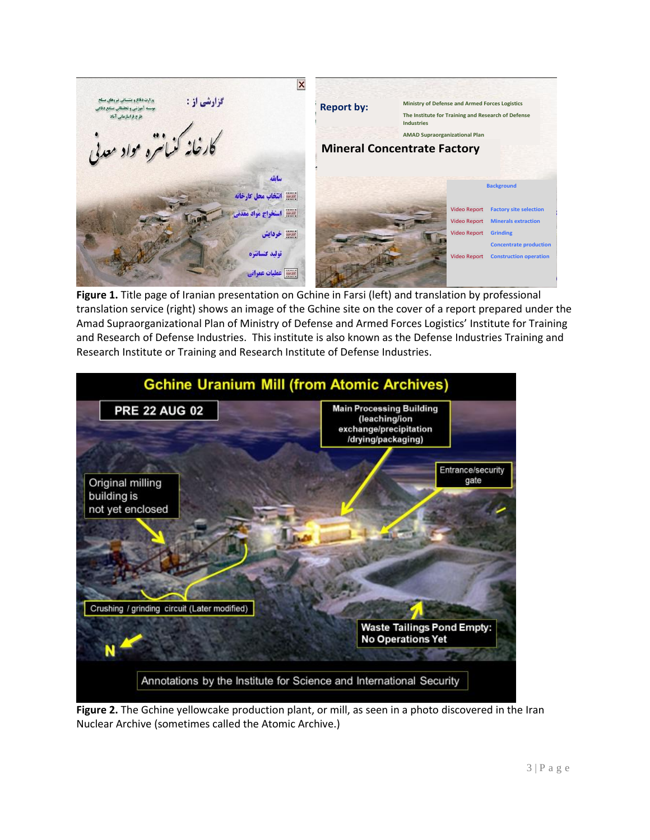$\overline{\mathbf{x}}$ وزارت دفاع و پشتسانی تیروهای مسلح گزارشی از : **Report by: Ministry of Defense and Armed Forces Logistics** موسسه آموزشي و تحققاني صنايع دفا **The Institute for Training and Research of Defense**  طرح فراسازمانی آماد **Industries** .<br>نانره <sup>م</sup>واد معد **AMAD Supraorganizational Plan Mineral Concentrate Factory**سأنفه **Background** |ﷺ انتخاب محل كارخانه Video Report **Factory site selection** استخراج مواد Video Report **Minerals extraction** ست خردایش Video Report **Grinding Concentrate production** تولید کنسانتره **Video Report Construction operation** سيس عمليات عمراني

**Figure 1.** Title page of Iranian presentation on Gchine in Farsi (left) and translation by professional translation service (right) shows an image of the Gchine site on the cover of a report prepared under the Amad Supraorganizational Plan of Ministry of Defense and Armed Forces Logistics' Institute for Training and Research of Defense Industries. This institute is also known as the Defense Industries Training and Research Institute or Training and Research Institute of Defense Industries.



**Figure 2.** The Gchine yellowcake production plant, or mill, as seen in a photo discovered in the Iran Nuclear Archive (sometimes called the Atomic Archive.)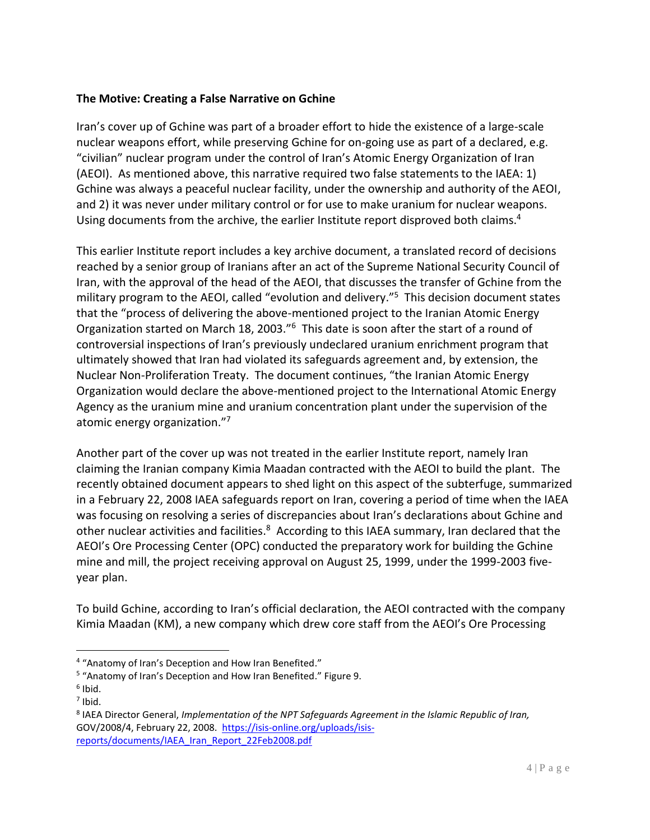# **The Motive: Creating a False Narrative on Gchine**

Iran's cover up of Gchine was part of a broader effort to hide the existence of a large-scale nuclear weapons effort, while preserving Gchine for on-going use as part of a declared, e.g. "civilian" nuclear program under the control of Iran's Atomic Energy Organization of Iran (AEOI). As mentioned above, this narrative required two false statements to the IAEA: 1) Gchine was always a peaceful nuclear facility, under the ownership and authority of the AEOI, and 2) it was never under military control or for use to make uranium for nuclear weapons. Using documents from the archive, the earlier Institute report disproved both claims.<sup>4</sup>

This earlier Institute report includes a key archive document, a translated record of decisions reached by a senior group of Iranians after an act of the Supreme National Security Council of Iran, with the approval of the head of the AEOI, that discusses the transfer of Gchine from the military program to the AEOI, called "evolution and delivery." 5 This decision document states that the "process of delivering the above-mentioned project to the Iranian Atomic Energy Organization started on March 18, 2003."<sup>6</sup> This date is soon after the start of a round of controversial inspections of Iran's previously undeclared uranium enrichment program that ultimately showed that Iran had violated its safeguards agreement and, by extension, the Nuclear Non-Proliferation Treaty. The document continues, "the Iranian Atomic Energy Organization would declare the above-mentioned project to the International Atomic Energy Agency as the uranium mine and uranium concentration plant under the supervision of the atomic energy organization."7

Another part of the cover up was not treated in the earlier Institute report, namely Iran claiming the Iranian company Kimia Maadan contracted with the AEOI to build the plant. The recently obtained document appears to shed light on this aspect of the subterfuge, summarized in a February 22, 2008 IAEA safeguards report on Iran, covering a period of time when the IAEA was focusing on resolving a series of discrepancies about Iran's declarations about Gchine and other nuclear activities and facilities.<sup>8</sup> According to this IAEA summary, Iran declared that the AEOI's Ore Processing Center (OPC) conducted the preparatory work for building the Gchine mine and mill, the project receiving approval on August 25, 1999, under the 1999-2003 fiveyear plan.

To build Gchine, according to Iran's official declaration, the AEOI contracted with the company Kimia Maadan (KM), a new company which drew core staff from the AEOI's Ore Processing

<sup>4</sup> "Anatomy of Iran's Deception and How Iran Benefited."

<sup>&</sup>lt;sup>5</sup> "Anatomy of Iran's Deception and How Iran Benefited." Figure 9.

<sup>6</sup> Ibid.

 $<sup>7</sup>$  Ibid.</sup>

<sup>8</sup> IAEA Director General, *Implementation of the NPT Safeguards Agreement in the Islamic Republic of Iran,*  GOV/2008/4, February 22, 2008. [https://isis-online.org/uploads/isis](about:blank)[reports/documents/IAEA\\_Iran\\_Report\\_22Feb2008.pdf](about:blank)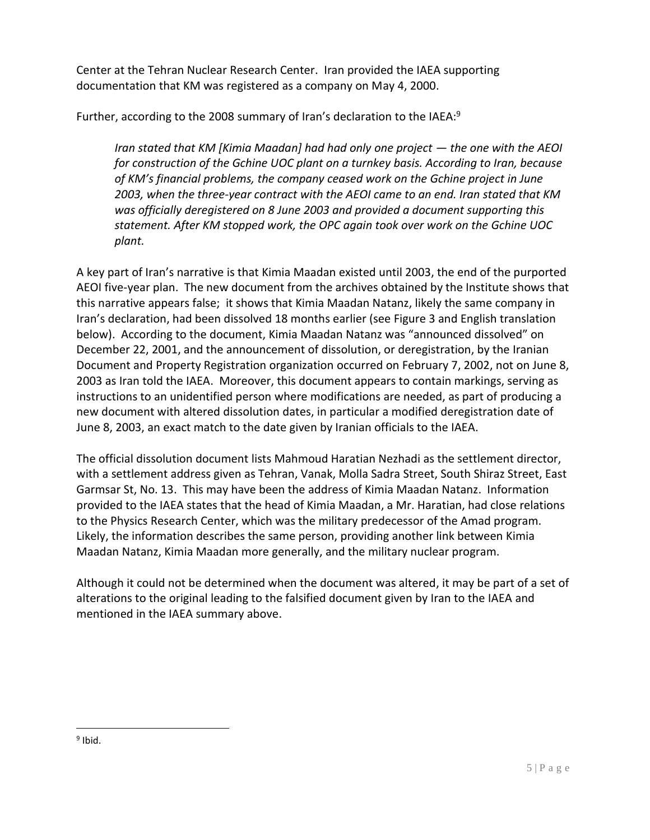Center at the Tehran Nuclear Research Center. Iran provided the IAEA supporting documentation that KM was registered as a company on May 4, 2000.

Further, according to the 2008 summary of Iran's declaration to the IAEA:<sup>9</sup>

*Iran stated that KM [Kimia Maadan] had had only one project — the one with the AEOI for construction of the Gchine UOC plant on a turnkey basis. According to Iran, because of KM's financial problems, the company ceased work on the Gchine project in June 2003, when the three-year contract with the AEOI came to an end. Iran stated that KM was officially deregistered on 8 June 2003 and provided a document supporting this statement. After KM stopped work, the OPC again took over work on the Gchine UOC plant.* 

A key part of Iran's narrative is that Kimia Maadan existed until 2003, the end of the purported AEOI five-year plan. The new document from the archives obtained by the Institute shows that this narrative appears false; it shows that Kimia Maadan Natanz, likely the same company in Iran's declaration, had been dissolved 18 months earlier (see Figure 3 and English translation below). According to the document, Kimia Maadan Natanz was "announced dissolved" on December 22, 2001, and the announcement of dissolution, or deregistration, by the Iranian Document and Property Registration organization occurred on February 7, 2002, not on June 8, 2003 as Iran told the IAEA. Moreover, this document appears to contain markings, serving as instructions to an unidentified person where modifications are needed, as part of producing a new document with altered dissolution dates, in particular a modified deregistration date of June 8, 2003, an exact match to the date given by Iranian officials to the IAEA.

The official dissolution document lists Mahmoud Haratian Nezhadi as the settlement director, with a settlement address given as Tehran, Vanak, Molla Sadra Street, South Shiraz Street, East Garmsar St, No. 13. This may have been the address of Kimia Maadan Natanz. Information provided to the IAEA states that the head of Kimia Maadan, a Mr. Haratian, had close relations to the Physics Research Center, which was the military predecessor of the Amad program. Likely, the information describes the same person, providing another link between Kimia Maadan Natanz, Kimia Maadan more generally, and the military nuclear program.

Although it could not be determined when the document was altered, it may be part of a set of alterations to the original leading to the falsified document given by Iran to the IAEA and mentioned in the IAEA summary above.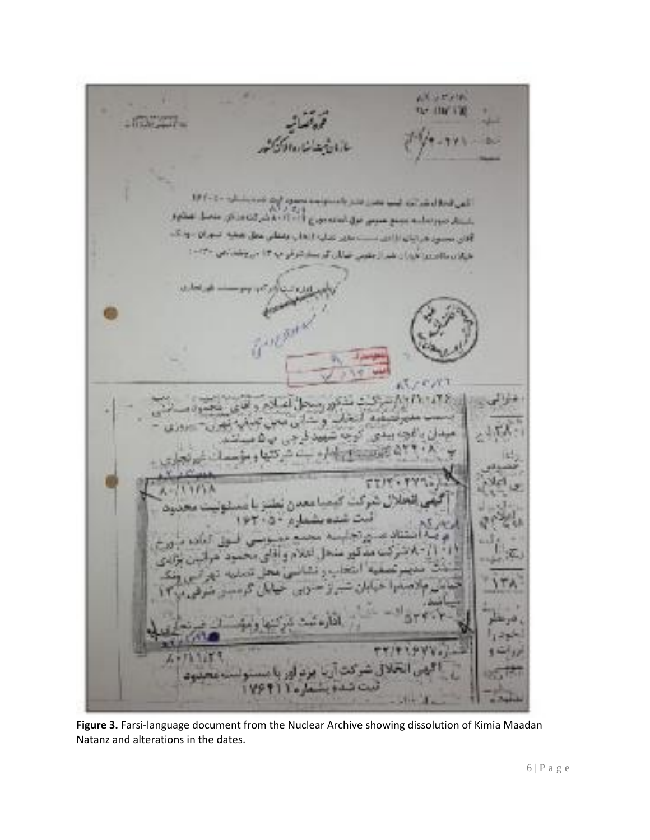× AK STAR **Qr (18) 130**  $-172472$ أأعن الطار شرائعه اه PLACE AA IT-IT giornini dei popo pose a dei por dini. آفان محمول فراتيان الأالف مست ملاير تترك 1 × 1 ي وتبقاني عامل ١٩٠ المؤاد والتنبية فراران فيرازعتوني صالحة ほとくバス ت کیمیا بھی ر مەنشىلە العاشة هل الملام واقامي  $-0.11$ 3 Car  $3 + 4$ 

Figure 3. Farsi-language document from the Nuclear Archive showing dissolution of Kimia Maadan Natanz and alterations in the dates.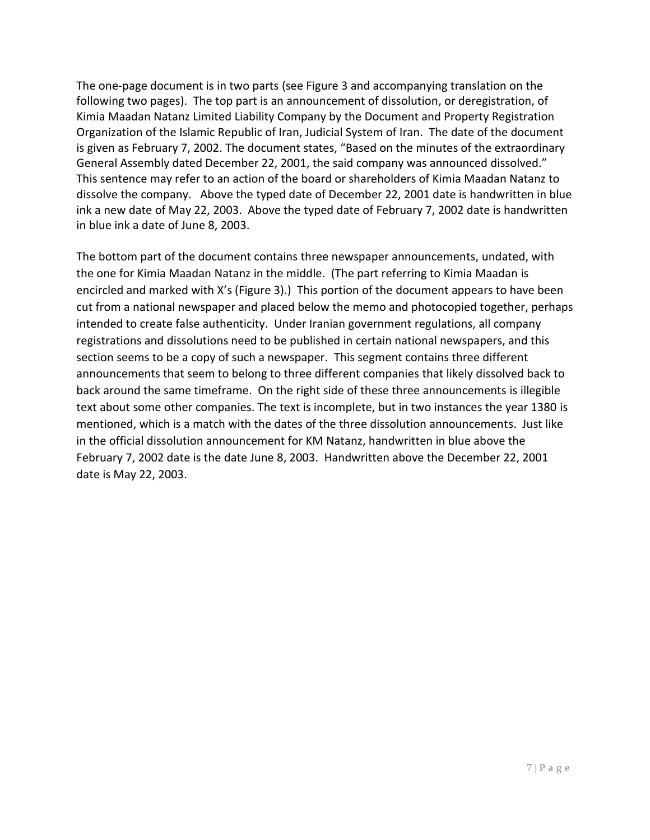The one-page document is in two parts (see Figure 3 and accompanying translation on the following two pages). The top part is an announcement of dissolution, or deregistration, of Kimia Maadan Natanz Limited Liability Company by the Document and Property Registration Organization of the Islamic Republic of Iran, Judicial System of Iran. The date of the document is given as February 7, 2002. The document states, "Based on the minutes of the extraordinary General Assembly dated December 22, 2001, the said company was announced dissolved." This sentence may refer to an action of the board or shareholders of Kimia Maadan Natanz to dissolve the company. Above the typed date of December 22, 2001 date is handwritten in blue ink a new date of May 22, 2003. Above the typed date of February 7, 2002 date is handwritten in blue ink a date of June 8, 2003.

The bottom part of the document contains three newspaper announcements, undated, with the one for Kimia Maadan Natanz in the middle. (The part referring to Kimia Maadan is encircled and marked with X's (Figure 3).) This portion of the document appears to have been cut from a national newspaper and placed below the memo and photocopied together, perhaps intended to create false authenticity. Under Iranian government regulations, all company registrations and dissolutions need to be published in certain national newspapers, and this section seems to be a copy of such a newspaper. This segment contains three different announcements that seem to belong to three different companies that likely dissolved back to back around the same timeframe. On the right side of these three announcements is illegible text about some other companies. The text is incomplete, but in two instances the year 1380 is mentioned, which is a match with the dates of the three dissolution announcements. Just like in the official dissolution announcement for KM Natanz, handwritten in blue above the February 7, 2002 date is the date June 8, 2003. Handwritten above the December 22, 2001 date is May 22, 2003.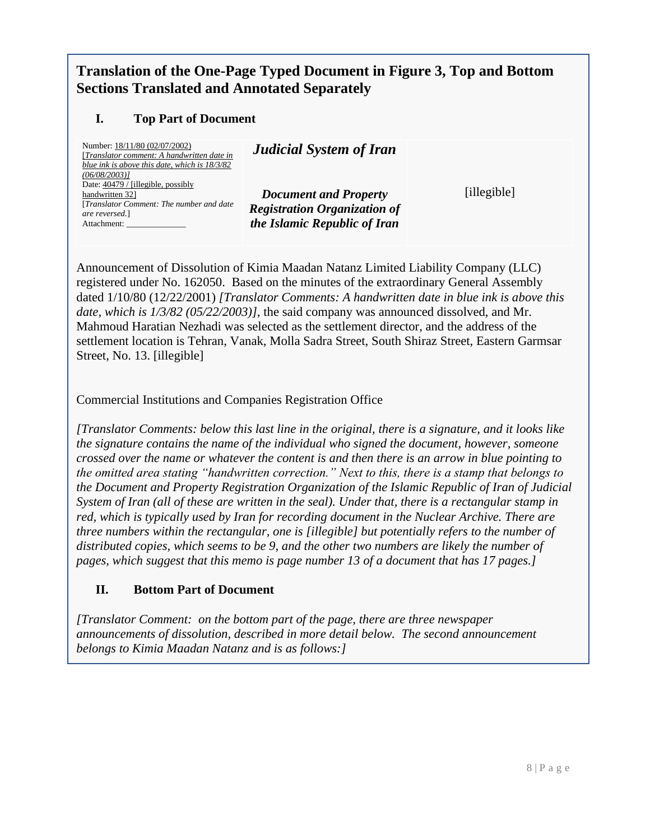# **Translation of the One-Page Typed Document in Figure 3, Top and Bottom Sections Translated and Annotated Separately**

# **I. Top Part of Document**

Number: 18/11/80 (02/07/2002) [*Translator comment: A handwritten date in blue ink is above this date, which is 18/3/82 (06/08/2003)]* Date: 40479 / [illegible, possibly handwritten 32] [*Translator Comment: The number and date are reversed.*] Attachment:

*Document and Property Registration Organization of the Islamic Republic of Iran*

*Judicial System of Iran*

[illegible]

Announcement of Dissolution of Kimia Maadan Natanz Limited Liability Company (LLC) registered under No. 162050. Based on the minutes of the extraordinary General Assembly dated 1/10/80 (12/22/2001) *[Translator Comments: A handwritten date in blue ink is above this date, which is 1/3/82 (05/22/2003)]*, the said company was announced dissolved, and Mr. Mahmoud Haratian Nezhadi was selected as the settlement director, and the address of the settlement location is Tehran, Vanak, Molla Sadra Street, South Shiraz Street, Eastern Garmsar Street, No. 13. [illegible]

Commercial Institutions and Companies Registration Office

*[Translator Comments: below this last line in the original, there is a signature, and it looks like the signature contains the name of the individual who signed the document, however, someone crossed over the name or whatever the content is and then there is an arrow in blue pointing to the omitted area stating "handwritten correction." Next to this, there is a stamp that belongs to the Document and Property Registration Organization of the Islamic Republic of Iran of Judicial System of Iran (all of these are written in the seal). Under that, there is a rectangular stamp in red, which is typically used by Iran for recording document in the Nuclear Archive. There are three numbers within the rectangular, one is [illegible] but potentially refers to the number of distributed copies, which seems to be 9, and the other two numbers are likely the number of pages, which suggest that this memo is page number 13 of a document that has 17 pages.]*

# **II. Bottom Part of Document**

*[Translator Comment: on the bottom part of the page, there are three newspaper announcements of dissolution, described in more detail below. The second announcement belongs to Kimia Maadan Natanz and is as follows:]*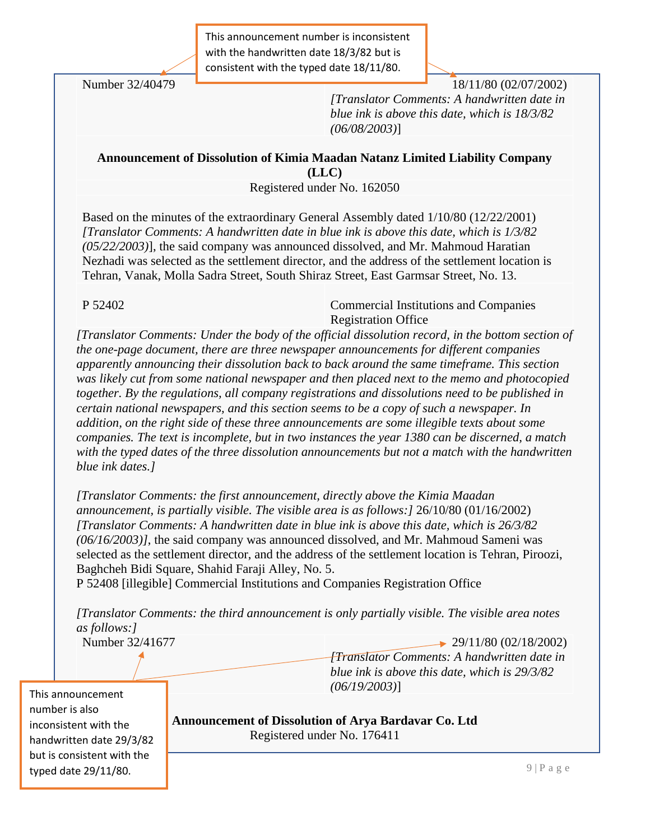This announcement number is inconsistent with the handwritten date 18/3/82 but is consistent with the typed date 18/11/80.

Number 32/40479 **18/11/80 (02/07/2002)** 18/11/80 (02/07/2002) *[Translator Comments: A handwritten date in blue ink is above this date, which is 18/3/82 (06/08/2003)*]

## **Announcement of Dissolution of Kimia Maadan Natanz Limited Liability Company (LLC)**

Registered under No. 162050

Based on the minutes of the extraordinary General Assembly dated 1/10/80 (12/22/2001) *[Translator Comments: A handwritten date in blue ink is above this date, which is 1/3/82 (05/22/2003)*], the said company was announced dissolved, and Mr. Mahmoud Haratian Nezhadi was selected as the settlement director, and the address of the settlement location is Tehran, Vanak, Molla Sadra Street, South Shiraz Street, East Garmsar Street, No. 13.

P 52402 Commercial Institutions and Companies Registration Office

*[Translator Comments: Under the body of the official dissolution record, in the bottom section of the one-page document, there are three newspaper announcements for different companies apparently announcing their dissolution back to back around the same timeframe. This section was likely cut from some national newspaper and then placed next to the memo and photocopied together. By the regulations, all company registrations and dissolutions need to be published in certain national newspapers, and this section seems to be a copy of such a newspaper. In addition, on the right side of these three announcements are some illegible texts about some companies. The text is incomplete, but in two instances the year 1380 can be discerned, a match with the typed dates of the three dissolution announcements but not a match with the handwritten blue ink dates.]*

*[Translator Comments: the first announcement, directly above the Kimia Maadan announcement, is partially visible. The visible area is as follows:]* 26/10/80 (01/16/2002) *[Translator Comments: A handwritten date in blue ink is above this date, which is 26/3/82 (06/16/2003)]*, the said company was announced dissolved, and Mr. Mahmoud Sameni was selected as the settlement director, and the address of the settlement location is Tehran, Piroozi, Baghcheh Bidi Square, Shahid Faraji Alley, No. 5.

P 52408 [illegible] Commercial Institutions and Companies Registration Office

*[Translator Comments: the third announcement is only partially visible. The visible area notes as follows:]*

Number 32/41677 29/11/80 (02/18/2002) *[Translator Comments: A handwritten date in blue ink is above this date, which is 29/3/82 (06/19/2003)*]

**9 | P** a g e **9 | P** a g e  $9$  | P a g e  $9$  | P a g e  $9$  | P a g e  $9$  | P a g e  $9$ This announcement number is also inconsistent with the handwritten date 29/3/82 but is consistent with the typed date 29/11/80.

**Announcement of Dissolution of Arya Bardavar Co. Ltd** Registered under No. 176411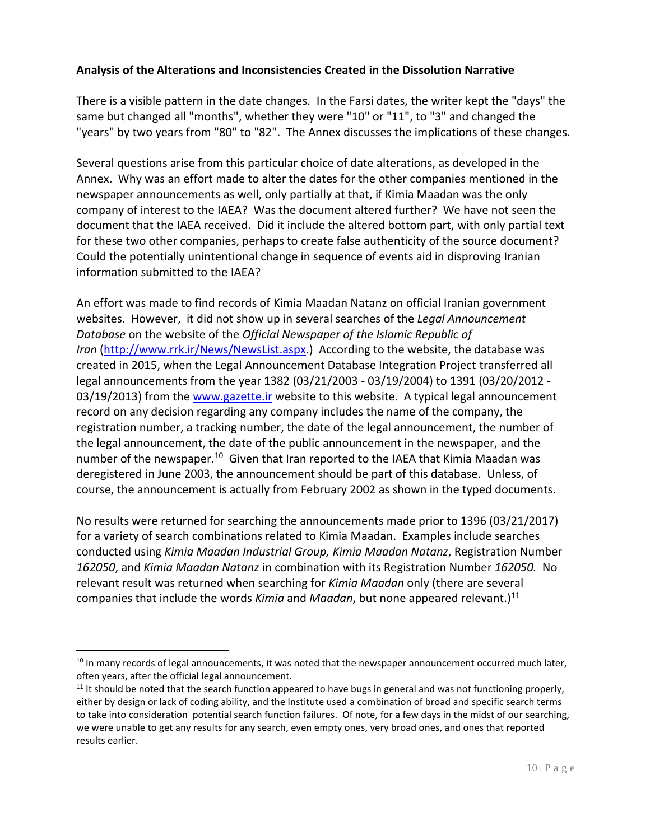# **Analysis of the Alterations and Inconsistencies Created in the Dissolution Narrative**

There is a visible pattern in the date changes. In the Farsi dates, the writer kept the "days" the same but changed all "months", whether they were "10" or "11", to "3" and changed the "years" by two years from "80" to "82". The Annex discusses the implications of these changes.

Several questions arise from this particular choice of date alterations, as developed in the Annex. Why was an effort made to alter the dates for the other companies mentioned in the newspaper announcements as well, only partially at that, if Kimia Maadan was the only company of interest to the IAEA? Was the document altered further? We have not seen the document that the IAEA received. Did it include the altered bottom part, with only partial text for these two other companies, perhaps to create false authenticity of the source document? Could the potentially unintentional change in sequence of events aid in disproving Iranian information submitted to the IAEA?

An effort was made to find records of Kimia Maadan Natanz on official Iranian government websites. However, it did not show up in several searches of the *Legal Announcement Database* on the website of the *Official Newspaper of the Islamic Republic of Iran* [\(http://www.rrk.ir/News/NewsList.aspx.](http://www.rrk.ir/News/NewsList.aspx)) According to the website, the database was created in 2015, when the Legal Announcement Database Integration Project transferred all legal announcements from the year 1382 (03/21/2003 - 03/19/2004) to 1391 (03/20/2012 03/19/2013) from the [www.gazette.ir](http://www.gazette.ir/) website to this website. A typical legal announcement record on any decision regarding any company includes the name of the company, the registration number, a tracking number, the date of the legal announcement, the number of the legal announcement, the date of the public announcement in the newspaper, and the number of the newspaper.<sup>10</sup> Given that Iran reported to the IAEA that Kimia Maadan was deregistered in June 2003, the announcement should be part of this database. Unless, of course, the announcement is actually from February 2002 as shown in the typed documents.

No results were returned for searching the announcements made prior to 1396 (03/21/2017) for a variety of search combinations related to Kimia Maadan. Examples include searches conducted using *Kimia Maadan Industrial Group, Kimia Maadan Natanz*, Registration Number *162050*, and *Kimia Maadan Natanz* in combination with its Registration Number *162050.* No relevant result was returned when searching for *Kimia Maadan* only (there are several companies that include the words *Kimia* and *Maadan*, but none appeared relevant.)<sup>11</sup>

<sup>&</sup>lt;sup>10</sup> In many records of legal announcements, it was noted that the newspaper announcement occurred much later, often years, after the official legal announcement.

 $11$  It should be noted that the search function appeared to have bugs in general and was not functioning properly, either by design or lack of coding ability, and the Institute used a combination of broad and specific search terms to take into consideration potential search function failures. Of note, for a few days in the midst of our searching, we were unable to get any results for any search, even empty ones, very broad ones, and ones that reported results earlier.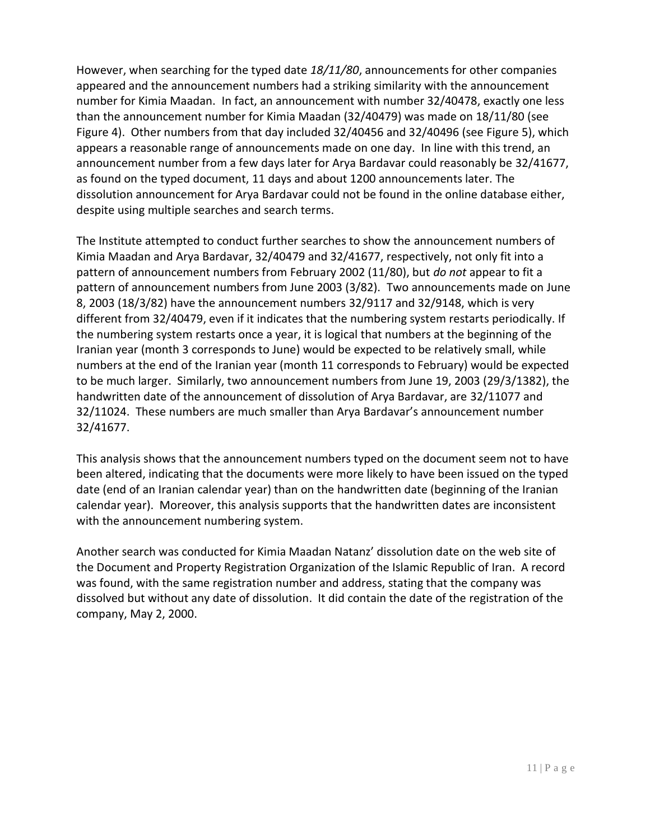However, when searching for the typed date *18/11/80*, announcements for other companies appeared and the announcement numbers had a striking similarity with the announcement number for Kimia Maadan. In fact, an announcement with number 32/40478, exactly one less than the announcement number for Kimia Maadan (32/40479) was made on 18/11/80 (see Figure 4). Other numbers from that day included 32/40456 and 32/40496 (see Figure 5), which appears a reasonable range of announcements made on one day. In line with this trend, an announcement number from a few days later for Arya Bardavar could reasonably be 32/41677, as found on the typed document, 11 days and about 1200 announcements later. The dissolution announcement for Arya Bardavar could not be found in the online database either, despite using multiple searches and search terms.

The Institute attempted to conduct further searches to show the announcement numbers of Kimia Maadan and Arya Bardavar, 32/40479 and 32/41677, respectively, not only fit into a pattern of announcement numbers from February 2002 (11/80), but *do not* appear to fit a pattern of announcement numbers from June 2003 (3/82). Two announcements made on June 8, 2003 (18/3/82) have the announcement numbers 32/9117 and 32/9148, which is very different from 32/40479, even if it indicates that the numbering system restarts periodically. If the numbering system restarts once a year, it is logical that numbers at the beginning of the Iranian year (month 3 corresponds to June) would be expected to be relatively small, while numbers at the end of the Iranian year (month 11 corresponds to February) would be expected to be much larger. Similarly, two announcement numbers from June 19, 2003 (29/3/1382), the handwritten date of the announcement of dissolution of Arya Bardavar, are 32/11077 and 32/11024. These numbers are much smaller than Arya Bardavar's announcement number 32/41677.

This analysis shows that the announcement numbers typed on the document seem not to have been altered, indicating that the documents were more likely to have been issued on the typed date (end of an Iranian calendar year) than on the handwritten date (beginning of the Iranian calendar year). Moreover, this analysis supports that the handwritten dates are inconsistent with the announcement numbering system.

Another search was conducted for Kimia Maadan Natanz' dissolution date on the web site of the Document and Property Registration Organization of the Islamic Republic of Iran. A record was found, with the same registration number and address, stating that the company was dissolved but without any date of dissolution. It did contain the date of the registration of the company, May 2, 2000.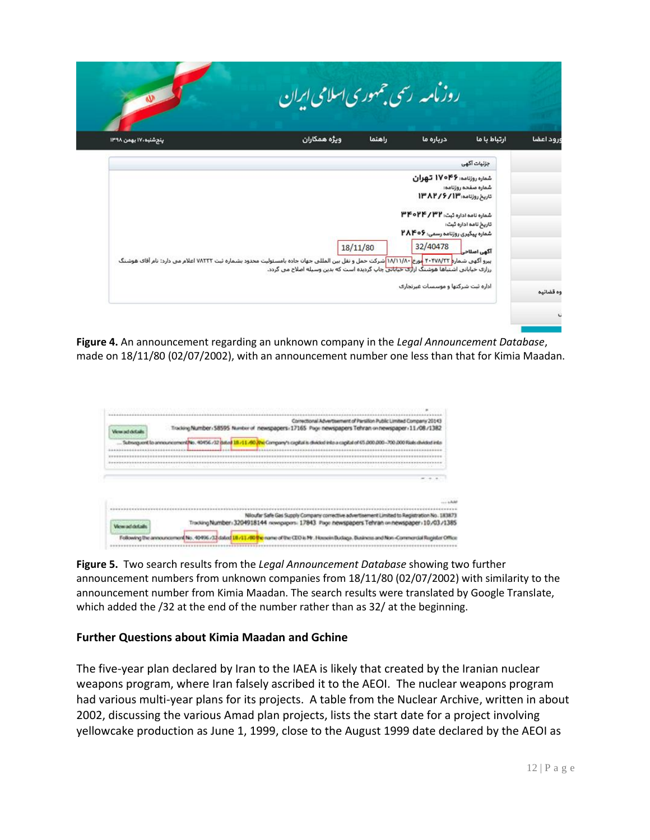|                                              |                                                                                            |          | روزمامه رسمی جمهوری اسلامی ایران                                                                    | w                                                                                                                                         |
|----------------------------------------------|--------------------------------------------------------------------------------------------|----------|-----------------------------------------------------------------------------------------------------|-------------------------------------------------------------------------------------------------------------------------------------------|
| ارتباط با ما                                 | درباره ما                                                                                  | راهنما   | ويژه همكاران                                                                                        | ينجشنبه ،٧٠ بهمن ١٣٩٨                                                                                                                     |
| جزئیات آگھی                                  |                                                                                            |          |                                                                                                     |                                                                                                                                           |
| شماره صفحه روزنامه:<br>تاریخ نامه اداره ثبت: | شماره روزنامه: ۱۷۰۴۶ تهران<br>تاريخ روزنامه: ١٣٨٢/٢/١٣<br>شماره نامه اداره ثبت: ۳۲/ ۳۴۰/۲۴ |          |                                                                                                     |                                                                                                                                           |
| آگھی اصلاحی                                  | شماره پیگیری روزنامه رسمی: ۲۸۴۰۶<br>32/40478                                               | 18/11/80 |                                                                                                     |                                                                                                                                           |
|                                              |                                                                                            |          | رزازی خیابانی اشتباها هوشنگ ازا <mark>زی خیابانی</mark> جاپ گردیده است که بدین وسیله اصلاح می گردد. | بیرو آگهی شمارم ۲۰۴۷/۷۲۲ اورخ ۱۸/۱۱/۸۰ شرکت حمل و نقل بین المللی جهان جاده بامسئولیت محدود بشماره ثبت ۷۸۲۲۲ اعلام می دارد: نام آقای هوشنگ |
|                                              | اداره ثبت شرکتها و موسسات غیرتجاری                                                         |          |                                                                                                     |                                                                                                                                           |

**Figure 4.** An announcement regarding an unknown company in the *Legal Announcement Database*, made on 18/11/80 (02/07/2002), with an announcement number one less than that for Kimia Maadan.

| Correctional Advertisement of Parsillon Public Limited Company 20143<br>Tracking Number / 58595 Number of newspapers - 17165 Page newspapers Tehran on newspaper - 11/08/1382<br>Almy ad dotail                                                                                     |  |
|-------------------------------------------------------------------------------------------------------------------------------------------------------------------------------------------------------------------------------------------------------------------------------------|--|
| Subsequent to announcementike. 40456 /32 pate) 18.411.40 (the Company's capital is divided into a capital of 45.000.000-700.000 Rials divided into<br>allegation of the second control of the<br>and and control to the fact<br>To allow the control of the second development<br>. |  |
|                                                                                                                                                                                                                                                                                     |  |
|                                                                                                                                                                                                                                                                                     |  |
| Niloufar Safe Gas Supply Company corrective advertisement Limited to Registration                                                                                                                                                                                                   |  |

**Figure 5.** Two search results from the *Legal Announcement Database* showing two further announcement numbers from unknown companies from 18/11/80 (02/07/2002) with similarity to the announcement number from Kimia Maadan. The search results were translated by Google Translate, which added the /32 at the end of the number rather than as 32/ at the beginning.

## **Further Questions about Kimia Maadan and Gchine**

The five-year plan declared by Iran to the IAEA is likely that created by the Iranian nuclear weapons program, where Iran falsely ascribed it to the AEOI. The nuclear weapons program had various multi-year plans for its projects. A table from the Nuclear Archive, written in about 2002, discussing the various Amad plan projects, lists the start date for a project involving yellowcake production as June 1, 1999, close to the August 1999 date declared by the AEOI as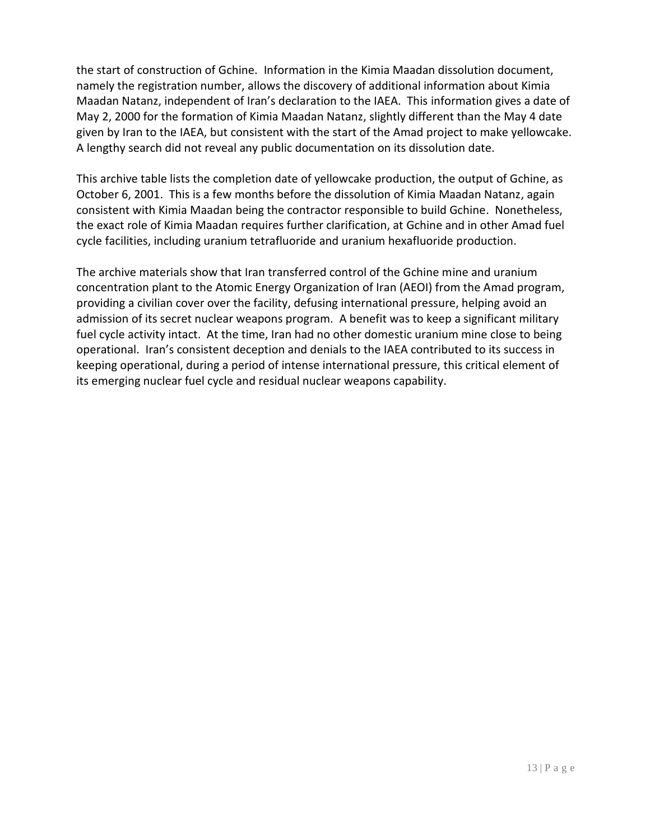the start of construction of Gchine. Information in the Kimia Maadan dissolution document, namely the registration number, allows the discovery of additional information about Kimia Maadan Natanz, independent of Iran's declaration to the IAEA. This information gives a date of May 2, 2000 for the formation of Kimia Maadan Natanz, slightly different than the May 4 date given by Iran to the IAEA, but consistent with the start of the Amad project to make yellowcake. A lengthy search did not reveal any public documentation on its dissolution date.

This archive table lists the completion date of yellowcake production, the output of Gchine, as October 6, 2001. This is a few months before the dissolution of Kimia Maadan Natanz, again consistent with Kimia Maadan being the contractor responsible to build Gchine. Nonetheless, the exact role of Kimia Maadan requires further clarification, at Gchine and in other Amad fuel cycle facilities, including uranium tetrafluoride and uranium hexafluoride production.

The archive materials show that Iran transferred control of the Gchine mine and uranium concentration plant to the Atomic Energy Organization of Iran (AEOI) from the Amad program, providing a civilian cover over the facility, defusing international pressure, helping avoid an admission of its secret nuclear weapons program. A benefit was to keep a significant military fuel cycle activity intact. At the time, Iran had no other domestic uranium mine close to being operational. Iran's consistent deception and denials to the IAEA contributed to its success in keeping operational, during a period of intense international pressure, this critical element of its emerging nuclear fuel cycle and residual nuclear weapons capability.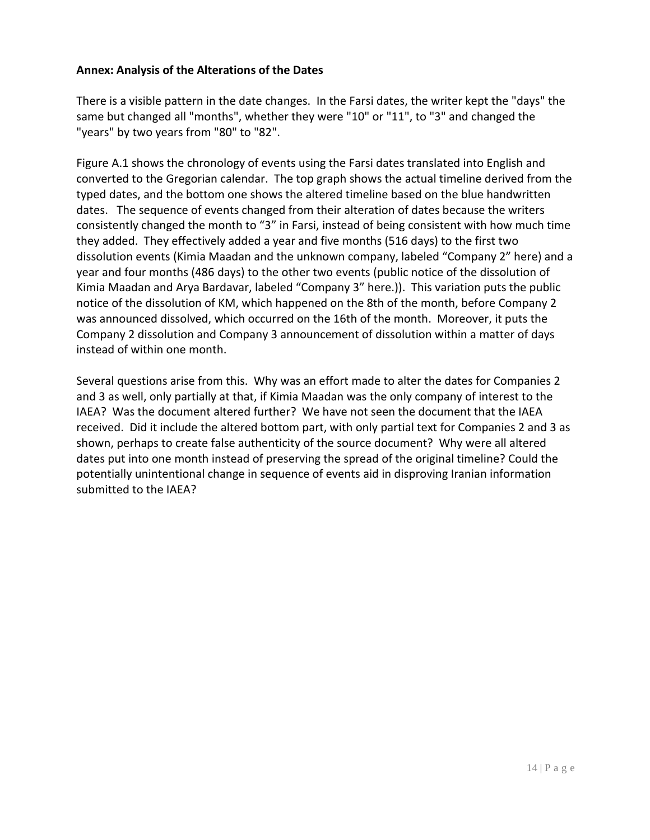#### **Annex: Analysis of the Alterations of the Dates**

There is a visible pattern in the date changes. In the Farsi dates, the writer kept the "days" the same but changed all "months", whether they were "10" or "11", to "3" and changed the "years" by two years from "80" to "82".

Figure A.1 shows the chronology of events using the Farsi dates translated into English and converted to the Gregorian calendar. The top graph shows the actual timeline derived from the typed dates, and the bottom one shows the altered timeline based on the blue handwritten dates. The sequence of events changed from their alteration of dates because the writers consistently changed the month to "3" in Farsi, instead of being consistent with how much time they added. They effectively added a year and five months (516 days) to the first two dissolution events (Kimia Maadan and the unknown company, labeled "Company 2" here) and a year and four months (486 days) to the other two events (public notice of the dissolution of Kimia Maadan and Arya Bardavar, labeled "Company 3" here.)). This variation puts the public notice of the dissolution of KM, which happened on the 8th of the month, before Company 2 was announced dissolved, which occurred on the 16th of the month. Moreover, it puts the Company 2 dissolution and Company 3 announcement of dissolution within a matter of days instead of within one month.

Several questions arise from this. Why was an effort made to alter the dates for Companies 2 and 3 as well, only partially at that, if Kimia Maadan was the only company of interest to the IAEA? Was the document altered further? We have not seen the document that the IAEA received. Did it include the altered bottom part, with only partial text for Companies 2 and 3 as shown, perhaps to create false authenticity of the source document? Why were all altered dates put into one month instead of preserving the spread of the original timeline? Could the potentially unintentional change in sequence of events aid in disproving Iranian information submitted to the IAEA?